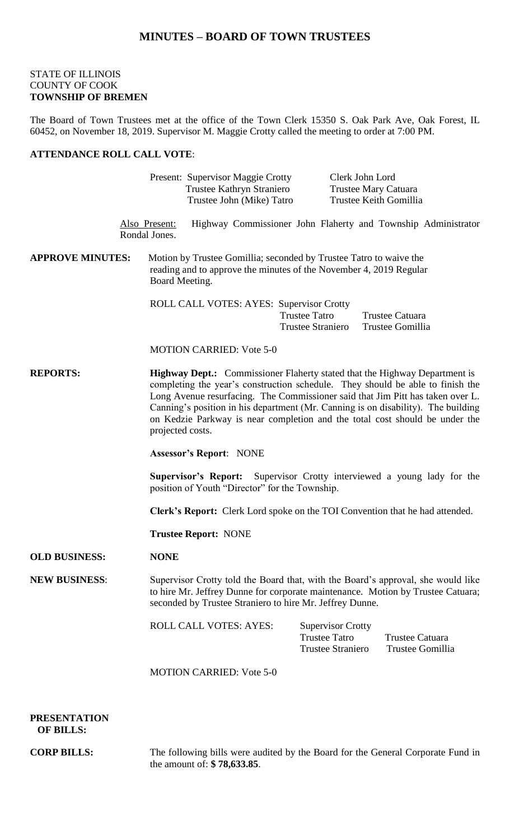# **MINUTES – BOARD OF TOWN TRUSTEES**

#### STATE OF ILLINOIS COUNTY OF COOK **TOWNSHIP OF BREMEN**

The Board of Town Trustees met at the office of the Town Clerk 15350 S. Oak Park Ave, Oak Forest, IL 60452, on November 18, 2019. Supervisor M. Maggie Crotty called the meeting to order at 7:00 PM.

### **ATTENDANCE ROLL CALL VOTE**:

|                         | Present: Supervisor Maggie Crotty<br>Trustee Kathryn Straniero<br>Trustee John (Mike) Tatro                                                                                                                                                                                                                                                                                                                                                                                                                                                                                                                                                                                                                                        | Clerk John Lord                                                              | Trustee Mary Catuara<br>Trustee Keith Gomillia                |
|-------------------------|------------------------------------------------------------------------------------------------------------------------------------------------------------------------------------------------------------------------------------------------------------------------------------------------------------------------------------------------------------------------------------------------------------------------------------------------------------------------------------------------------------------------------------------------------------------------------------------------------------------------------------------------------------------------------------------------------------------------------------|------------------------------------------------------------------------------|---------------------------------------------------------------|
|                         | Also Present:<br>Rondal Jones.                                                                                                                                                                                                                                                                                                                                                                                                                                                                                                                                                                                                                                                                                                     |                                                                              | Highway Commissioner John Flaherty and Township Administrator |
| <b>APPROVE MINUTES:</b> | Motion by Trustee Gomillia; seconded by Trustee Tatro to waive the<br>reading and to approve the minutes of the November 4, 2019 Regular<br>Board Meeting.                                                                                                                                                                                                                                                                                                                                                                                                                                                                                                                                                                         |                                                                              |                                                               |
|                         | ROLL CALL VOTES: AYES: Supervisor Crotty                                                                                                                                                                                                                                                                                                                                                                                                                                                                                                                                                                                                                                                                                           | <b>Trustee Tatro</b><br><b>Trustee Straniero</b>                             | Trustee Catuara<br>Trustee Gomillia                           |
|                         | <b>MOTION CARRIED: Vote 5-0</b>                                                                                                                                                                                                                                                                                                                                                                                                                                                                                                                                                                                                                                                                                                    |                                                                              |                                                               |
| <b>REPORTS:</b>         | <b>Highway Dept.:</b> Commissioner Flaherty stated that the Highway Department is<br>completing the year's construction schedule. They should be able to finish the<br>Long Avenue resurfacing. The Commissioner said that Jim Pitt has taken over L.<br>Canning's position in his department (Mr. Canning is on disability). The building<br>on Kedzie Parkway is near completion and the total cost should be under the<br>projected costs.<br><b>Assessor's Report: NONE</b><br><b>Supervisor's Report:</b> Supervisor Crotty interviewed a young lady for the<br>position of Youth "Director" for the Township.<br>Clerk's Report: Clerk Lord spoke on the TOI Convention that he had attended.<br><b>Trustee Report: NONE</b> |                                                                              |                                                               |
|                         |                                                                                                                                                                                                                                                                                                                                                                                                                                                                                                                                                                                                                                                                                                                                    |                                                                              |                                                               |
|                         |                                                                                                                                                                                                                                                                                                                                                                                                                                                                                                                                                                                                                                                                                                                                    |                                                                              |                                                               |
|                         |                                                                                                                                                                                                                                                                                                                                                                                                                                                                                                                                                                                                                                                                                                                                    |                                                                              |                                                               |
|                         |                                                                                                                                                                                                                                                                                                                                                                                                                                                                                                                                                                                                                                                                                                                                    |                                                                              |                                                               |
| <b>OLD BUSINESS:</b>    | <b>NONE</b>                                                                                                                                                                                                                                                                                                                                                                                                                                                                                                                                                                                                                                                                                                                        |                                                                              |                                                               |
| <b>NEW BUSINESS:</b>    | Supervisor Crotty told the Board that, with the Board's approval, she would like<br>to hire Mr. Jeffrey Dunne for corporate maintenance. Motion by Trustee Catuara;<br>seconded by Trustee Straniero to hire Mr. Jeffrey Dunne.                                                                                                                                                                                                                                                                                                                                                                                                                                                                                                    |                                                                              |                                                               |
|                         | <b>ROLL CALL VOTES: AYES:</b>                                                                                                                                                                                                                                                                                                                                                                                                                                                                                                                                                                                                                                                                                                      | <b>Supervisor Crotty</b><br><b>Trustee Tatro</b><br><b>Trustee Straniero</b> | <b>Trustee Catuara</b><br>Trustee Gomillia                    |
|                         | <b>MOTION CARRIED: Vote 5-0</b>                                                                                                                                                                                                                                                                                                                                                                                                                                                                                                                                                                                                                                                                                                    |                                                                              |                                                               |
|                         |                                                                                                                                                                                                                                                                                                                                                                                                                                                                                                                                                                                                                                                                                                                                    |                                                                              |                                                               |

**PRESENTATION OF BILLS:**

**CORP BILLS:** The following bills were audited by the Board for the General Corporate Fund in the amount of: **\$ 78,633.85**.